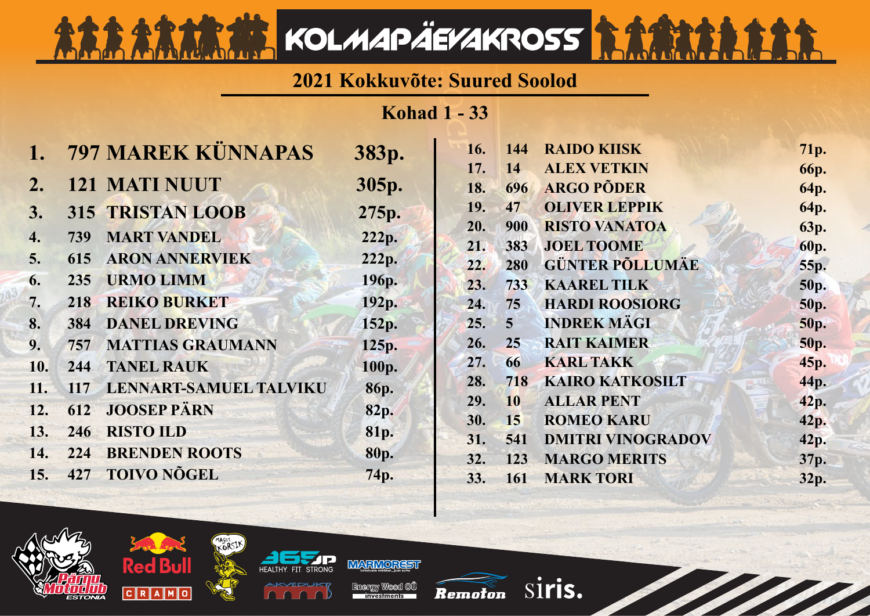## **2021 Kokkuvõte: Suured Soolod**

KOLMAPÄEVAKROSS **SAAR** 

**Kohad 1 - 33**

| $\mathbf{1}$ . |     | 797 MAREK KÜNNAPAS         | 383p.       | 16. | 144            | <b>RAIDO KIISK</b>       | 71p.        |
|----------------|-----|----------------------------|-------------|-----|----------------|--------------------------|-------------|
|                |     |                            |             | 17. | 14             | <b>ALEX VETKIN</b>       | <b>66p.</b> |
| 2.             |     | <b>121 MATI NUUT</b>       | 305p.       | 18. | 696            | <b>ARGO PÕDER</b>        | 64p.        |
| 3.             |     | 315 TRISTAN LOOB           | 275p.       | 19. | 47             | <b>OLIVER LEPPIK</b>     | 64p.        |
| 4.             | 739 | <b>MART VANDEL</b>         | 222p.       | 20. | 900            | <b>RISTO VANATOA</b>     | 63p.        |
|                |     |                            |             | 21. | 383            | <b>JOEL TOOME</b>        | 60p.        |
| 5.             | 615 | <b>ARON ANNERVIEK</b>      | 222p.       | 22. | 280            | <b>GÜNTER PÕLLUMÄE</b>   | 55p.        |
| 6.             | 235 | <b>URMO LIMM</b>           | 196p.       | 23. | 733            | <b>KAAREL TILK</b>       | 50p.        |
| 7.             | 218 | <b>REIKO BURKET</b>        | 192p.       | 24. | 75             | <b>HARDI ROOSIORG</b>    | 50p.        |
| 8.             | 384 | <b>DANEL DREVING</b>       | 152p.       | 25. | $\overline{5}$ | <b>INDREK MÄGI</b>       | 50p.        |
| 9.             | 757 | <b>MATTIAS GRAUMANN</b>    | 125p.       | 26. | 25             | <b>RAIT KAIMER</b>       | 50p.        |
| 10.            | 244 | <b>TANEL RAUK</b>          | 100p.       | 27. | 66             | <b>KARL TAKK</b>         | 45p.        |
| 11.            |     | 117 LENNART-SAMUEL TALVIKU | 86p.        | 28. | 718            | <b>KAIRO KATKOSILT</b>   | 44p.        |
| 12.            | 612 | <b>JOOSEP PÄRN</b>         |             | 29. | 10             | <b>ALLAR PENT</b>        | 42p.        |
|                |     |                            | 82p.        | 30. | 15             | <b>ROMEO KARU</b>        | 42p.        |
| 13.            | 246 | <b>RISTO ILD</b>           | 81p.        | 31. | 541            | <b>DMITRI VINOGRADOV</b> | 42p.        |
| 14.            | 224 | <b>BRENDEN ROOTS</b>       | <b>80p.</b> | 32. | 123            | <b>MARGO MERITS</b>      | 37p.        |
| 15.            | 427 | <b>TOIVO NÕGEL</b>         | 74p.        | 33. | 161            | <b>MARK TORI</b>         | 32p.        |
|                |     |                            |             |     |                |                          |             |

**MARMOREST IFAITHV** 

MAGUS

rd Bu

 $C R A M C$